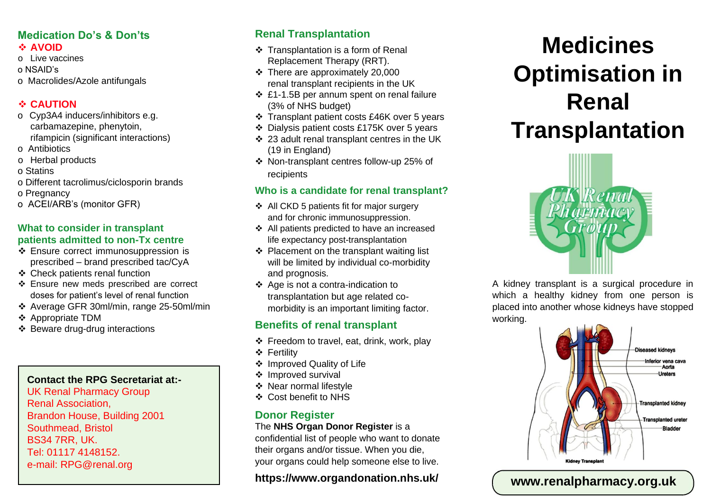# **Medication Do's & Don'ts**

#### ❖ **AVOID**

- o Live vaccines
- o NSAID's
- o Macrolides/Azole antifungals

#### ❖ **CAUTION**

- o Cyp3A4 inducers/inhibitors e.g. carbamazepine, phenytoin, rifampicin (significant interactions)
- o Antibiotics
- o Herbal products
- o Statins
- o Different tacrolimus/ciclosporin brands
- o Pregnancy
- o ACEI/ARB's (monitor GFR)

#### **What to consider in transplant patients admitted to non-Tx centre**

- ❖ Ensure correct immunosuppression is prescribed – brand prescribed tac/CyA
- ❖ Check patients renal function
- ❖ Ensure new meds prescribed are correct doses for patient's level of renal function
- ❖ Average GFR 30ml/min, range 25-50ml/min
- ❖ Appropriate TDM
- ❖ Beware drug-drug interactions

#### **Contact the RPG Secretariat at:-**

UK Renal Pharmacy Group Renal Association, Brandon House, Building 2001 Southmead, Bristol BS34 7RR, UK. Tel: 01117 4148152. e-mail: RPG@renal.org

# **Renal Transplantation**

- ❖ Transplantation is a form of Renal Replacement Therapy (RRT).
- ❖ There are approximately 20,000 renal transplant recipients in the UK
- ❖ £1-1.5B per annum spent on renal failure (3% of NHS budget)
- ❖ Transplant patient costs £46K over 5 years
- ❖ Dialysis patient costs £175K over 5 years
- ❖ 23 adult renal transplant centres in the UK (19 in England)
- ❖ Non-transplant centres follow-up 25% of recipients

### **Who is a candidate for renal transplant?**

- ❖ All CKD 5 patients fit for major surgery and for chronic immunosuppression.
- ❖ All patients predicted to have an increased life expectancy post-transplantation
- ❖ Placement on the transplant waiting list will be limited by individual co-morbidity and prognosis.
- ❖ Age is not a contra-indication to transplantation but age related comorbidity is an important limiting factor.

# **Benefits of renal transplant**

- ❖ Freedom to travel, eat, drink, work, play
- ❖ Fertility
- ❖ Improved Quality of Life
- ❖ Improved survival
- ❖ Near normal lifestyle
- ❖ Cost benefit to NHS

# **Donor Register**

The **NHS Organ Donor Register** is a confidential list of people who want to donate their organs and/or tissue. When you die, your organs could help someone else to live.

# **https://www.organdonation.nhs.uk/**

# **Medicines Optimisation in Renal Transplantation**



A kidney transplant is a surgical procedure in which a healthy kidney from one person is placed into another whose kidneys have stopped working.



# **www.renalpharmacy.org.uk**